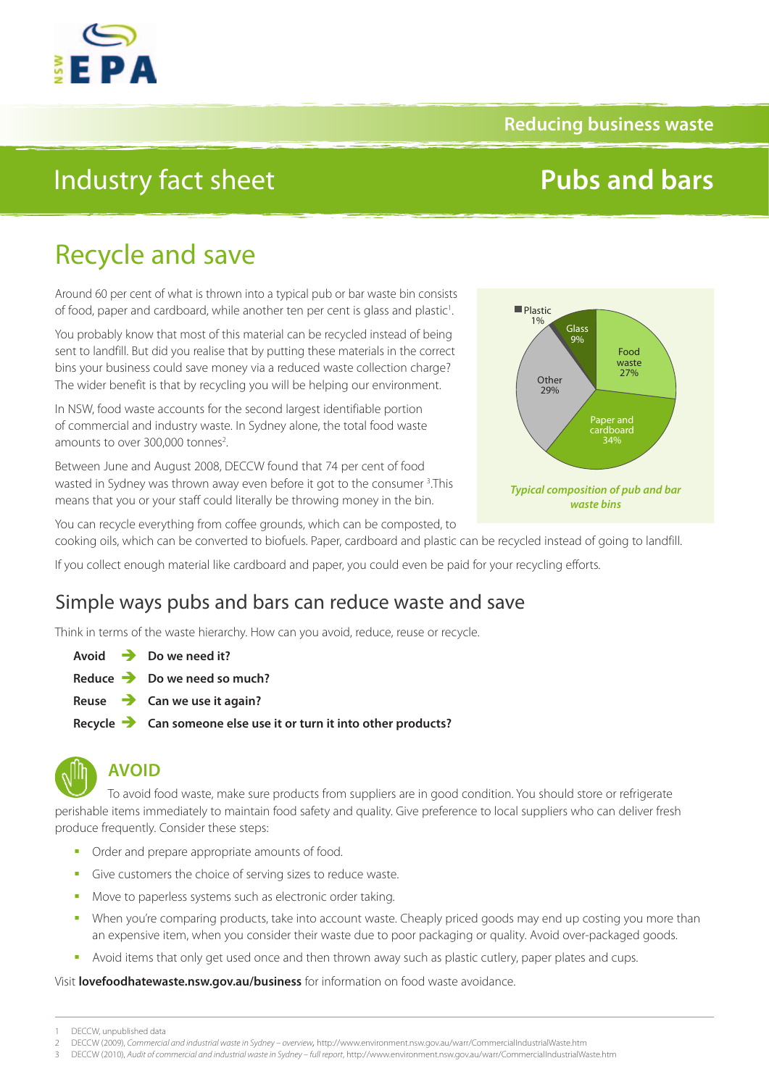### **Reducing business waste**

## Industry fact sheet

# **Pubs and bars**

## Recycle and save

Around 60 per cent of what is thrown into a typical pub or bar waste bin consists of food, paper and cardboard, while another ten per cent is glass and plastic<sup>1</sup>. .

You probably know that most of this material can be recycled instead of being sent to landfill. But did you realise that by putting these materials in the correct bins your business could save money via a reduced waste collection charge? The wider benefit is that by recycling you will be helping our environment.

In NSW, food waste accounts for the second largest identifiable portion of commercial and industry waste. In Sydney alone, the total food waste amounts to over 300,000 tonnes<sup>2</sup>. .

Between June and August 2008, DECCW found that 74 per cent of food wasted in Sydney was thrown away even before it got to the consumer <sup>3</sup>. This means that you or your staff could literally be throwing money in the bin.



You can recycle everything from coffee grounds, which can be composted, to

cooking oils, which can be converted to biofuels. Paper, cardboard and plastic can be recycled instead of going to landfill.

If you collect enough material like cardboard and paper, you could even be paid for your recycling efforts.

### Simple ways pubs and bars can reduce waste and save

Think in terms of the waste hierarchy. How can you avoid, reduce, reuse or recycle.

- **Avoid Do we need it?**
- **Reduce Do we need so much?**
- **Reuse Can we use it again?**
- **Recycle Can someone else use it or turn it into other products?**



### **AVOID**

To avoid food waste, make sure products from suppliers are in good condition. You should store or refrigerate perishable items immediately to maintain food safety and quality. Give preference to local suppliers who can deliver fresh produce frequently. Consider these steps:

- Order and prepare appropriate amounts of food.
- Give customers the choice of serving sizes to reduce waste.
- Move to paperless systems such as electronic order taking.
- When you're comparing products, take into account waste. Cheaply priced goods may end up costing you more than an expensive item, when you consider their waste due to poor packaging or quality. Avoid over-packaged goods.
- Avoid items that only get used once and then thrown away such as plastic cutlery, paper plates and cups.

Visit **[lovefoodhatewaste.nsw.gov.au/business](http://lovefoodhatewaste.nsw.gov.au/business)** for information on food waste avoidance.

<sup>1</sup> DECCW, unpublished data

<sup>2</sup> DECCW (2009), *Commercial and industrial waste in Sydney – overview,* <http://www.environment.nsw.gov.au/warr/CommercialIndustrialWaste.htm>

<sup>3</sup> DECCW (2010), *Audit of commercial and industrial waste in Sydney – full report*, [http://www.environment.nsw.gov.au/warr/CommercialIndustrialWaste.htm](http://www.environment.nsw.gov.au/warr/CommercialIndustrialWaste.htmq)